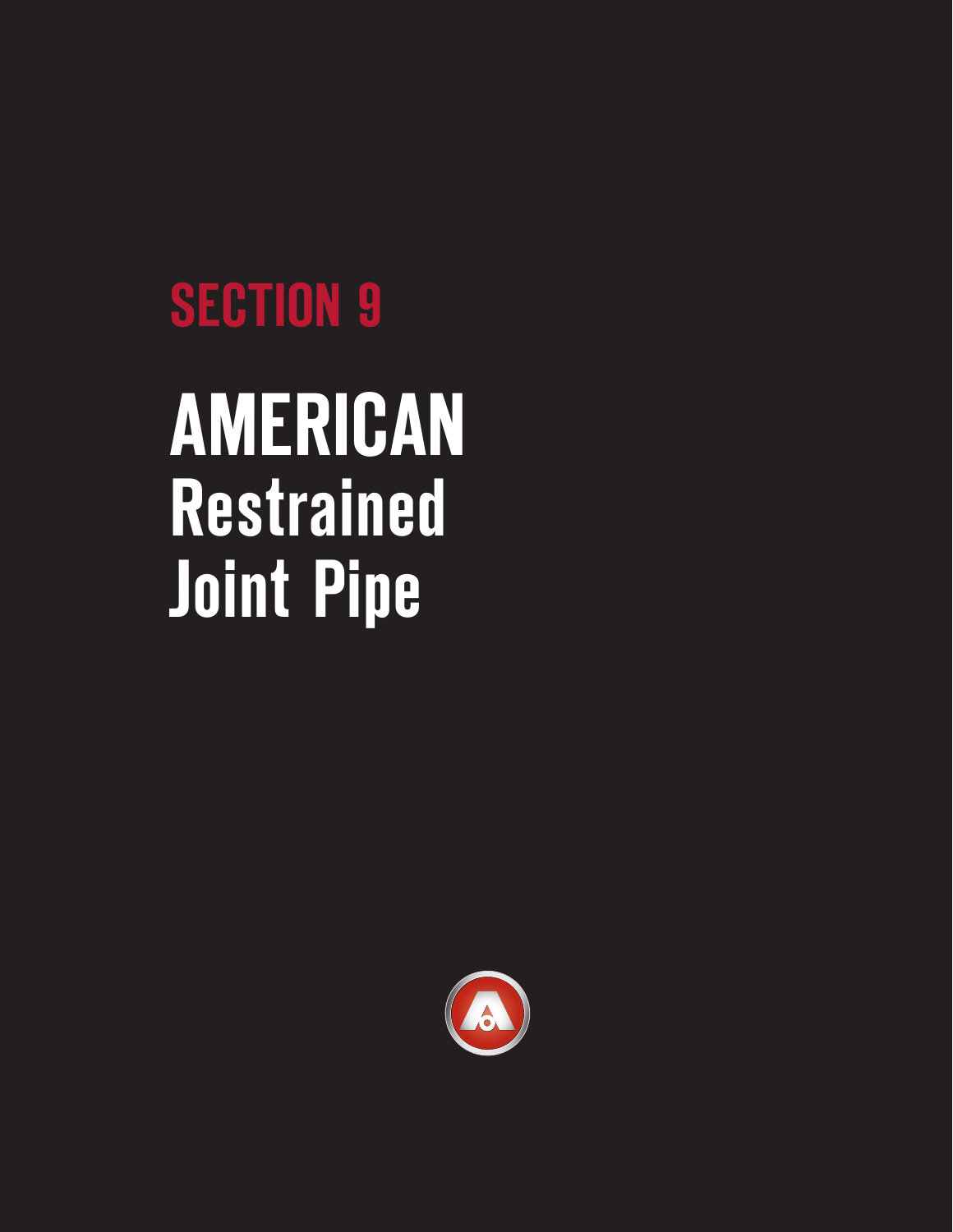# **SECTION 9**

# **AMERICAN Restrained Joint Pipe**

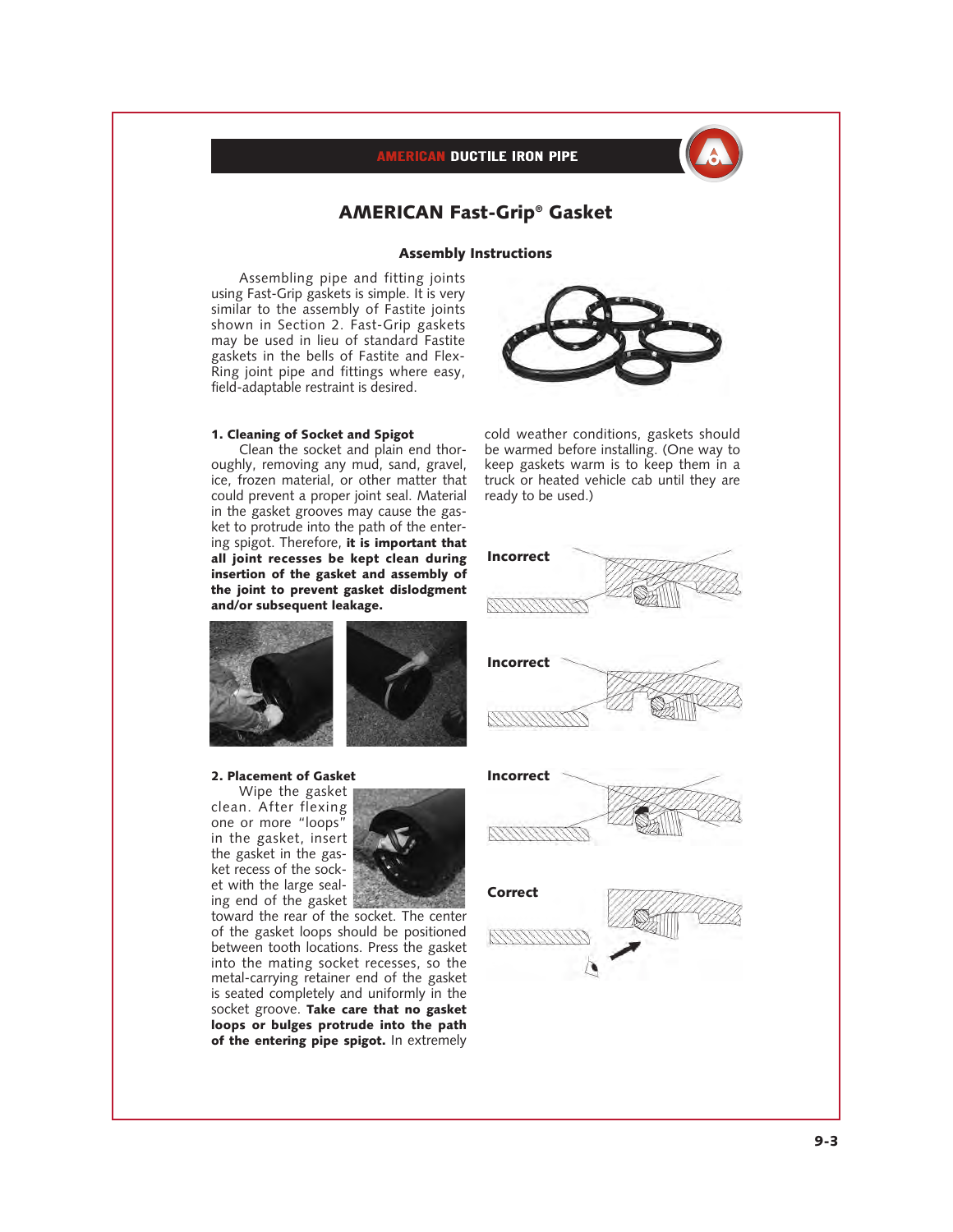

# **AMERICAN Fast-Grip® Gasket**

### **Assembly Instructions**

Assembling pipe and fitting joints using Fast-Grip gaskets is simple. It is very similar to the assembly of Fastite joints shown in Section 2. Fast-Grip gaskets may be used in lieu of standard Fastite gaskets in the bells of Fastite and Flex-Ring joint pipe and fittings where easy, field-adaptable restraint is desired.

### **1. Cleaning of Socket and Spigot**

Clean the socket and plain end thoroughly, removing any mud, sand, gravel, ice, frozen material, or other matter that could prevent a proper joint seal. Material in the gasket grooves may cause the gasket to protrude into the path of the entering spigot. Therefore, **it is important that all joint recesses be kept clean during insertion of the gasket and assembly of the joint to prevent gasket dislodgment and/or subsequent leakage.**



cold weather conditions, gaskets should be warmed before installing. (One way to keep gaskets warm is to keep them in a truck or heated vehicle cab until they are ready to be used.)



# **2. Placement of Gasket**

Wipe the gasket clean. After flexing one or more "loops" in the gasket, insert the gasket in the gasket recess of the socket with the large sealing end of the gasket



toward the rear of the socket. The center of the gasket loops should be positioned between tooth locations. Press the gasket into the mating socket recesses, so the metal-carrying retainer end of the gasket is seated completely and uniformly in the socket groove. **Take care that no gasket loops or bulges protrude into the path of the entering pipe spigot.** In extremely









**Incorrect**

**9-3**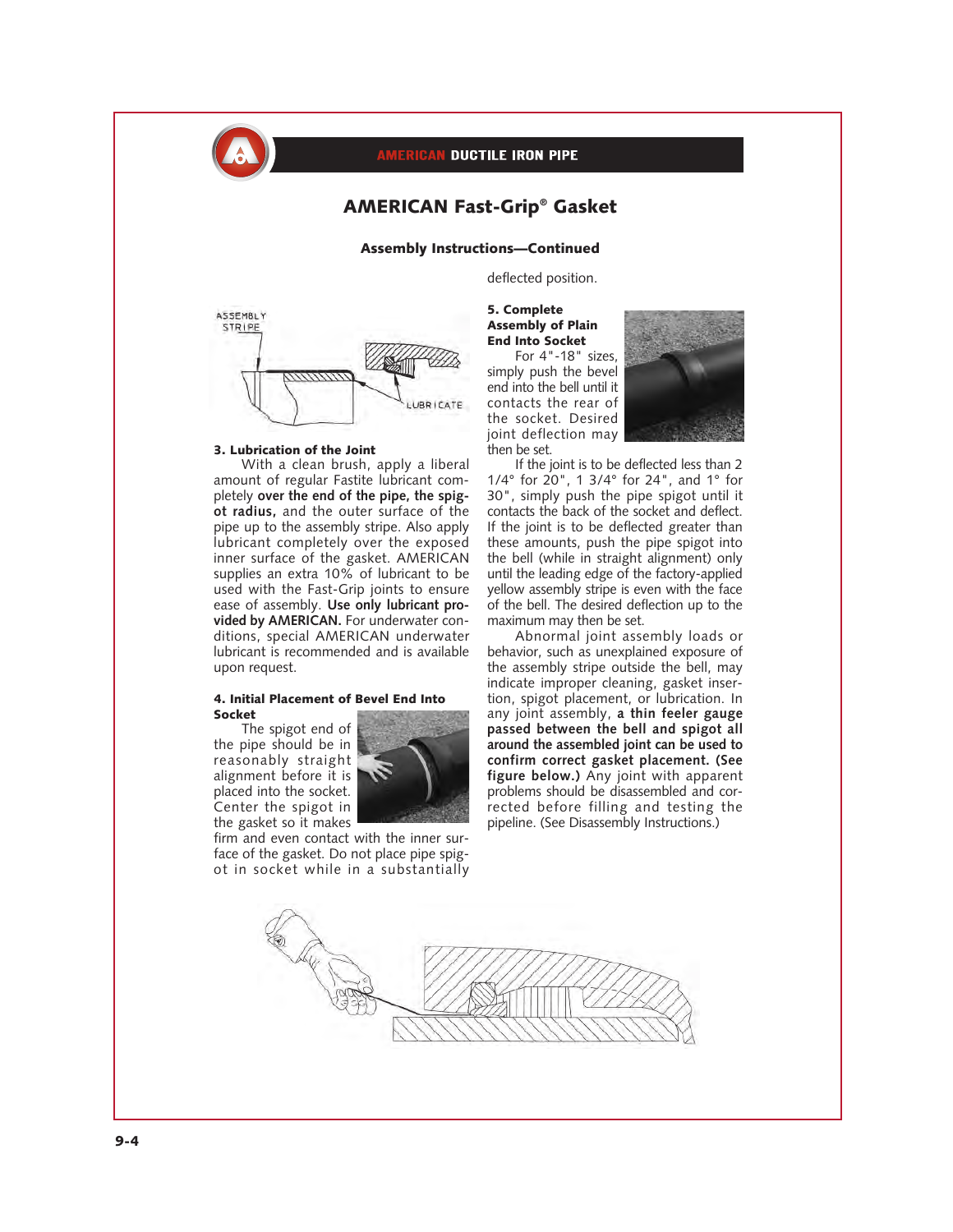

# **AMERICAN Fast-Grip® Gasket**

# **Assembly Instructions—Continued**

deflected position.



### **3. Lubrication of the Joint**

With a clean brush, apply a liberal amount of regular Fastite lubricant completely **over the end of the pipe, the spigot radius,** and the outer surface of the pipe up to the assembly stripe. Also apply lubricant completely over the exposed inner surface of the gasket. AMERICAN supplies an extra 10% of lubricant to be used with the Fast-Grip joints to ensure ease of assembly. **Use only lubricant provided by AMERICAN.** For underwater conditions, special AMERICAN underwater lubricant is recommended and is available upon request.

## **4. Initial Placement of Bevel End Into Socket**

The spigot end of the pipe should be in reasonably straight alignment before it is placed into the socket. Center the spigot in the gasket so it makes



firm and even contact with the inner surface of the gasket. Do not place pipe spigot in socket while in a substantially

# **5. Complete Assembly of Plain End Into Socket**

For 4"-18" sizes, simply push the bevel end into the bell until it contacts the rear of the socket. Desired joint deflection may then be set.



If the joint is to be deflected less than 2 1/4° for 20", 1 3/4° for 24", and 1° for 30", simply push the pipe spigot until it contacts the back of the socket and deflect. If the joint is to be deflected greater than these amounts, push the pipe spigot into the bell (while in straight alignment) only until the leading edge of the factory-applied yellow assembly stripe is even with the face of the bell. The desired deflection up to the maximum may then be set.

Abnormal joint assembly loads or behavior, such as unexplained exposure of the assembly stripe outside the bell, may indicate improper cleaning, gasket insertion, spigot placement, or lubrication. In any joint assembly, **a thin feeler gauge passed between the bell and spigot all around the assembled joint can be used to confirm correct gasket placement. (See figure below.)** Any joint with apparent problems should be disassembled and corrected before filling and testing the pipeline. (See Disassembly Instructions.)

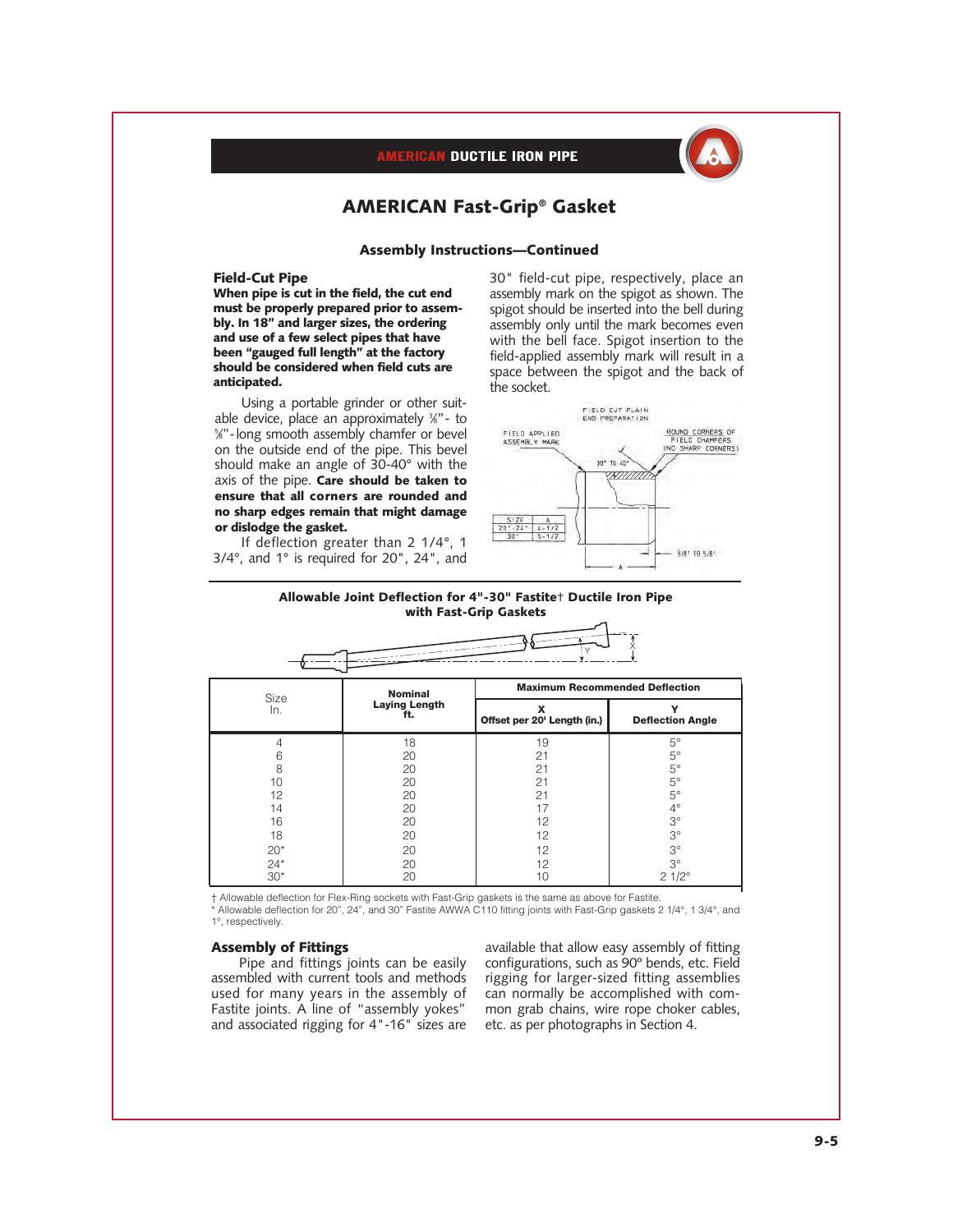

# **AMERICAN Fast-Grip® Gasket**

# **Assembly Instructions—Continued**

### **Field-Cut Pipe**

**When pipe is cut in the field, the cut end must be properly prepared prior to assembly. In 18" and larger sizes, the ordering and use of a few select pipes that have been "gauged full length" at the factory should be considered when field cuts are anticipated.**

Using a portable grinder or other suitable device, place an approximately 3 ⁄8"- to 5 ⁄8"- long smooth assembly chamfer or bevel on the outside end of the pipe. This bevel should make an angle of 30-40° with the axis of the pipe. **Care should be taken to ensure that all corners are rounded and no sharp edges remain that might damage or dislodge the gasket.**

If deflection greater than 2 1/4°, 1 3/4°, and 1° is required for 20", 24", and 30" field-cut pipe, respectively, place an assembly mark on the spigot as shown. The spigot should be inserted into the bell during assembly only until the mark becomes even with the bell face. Spigot insertion to the field-applied assembly mark will result in a space between the spigot and the back of the socket.



للردائي

### **Allowable Joint Deflection for 4"-30" Fastite**† **Ductile Iron Pipe with Fast-Grip Gaskets**

| Size<br>In. | <b>Nominal</b><br><b>Laying Length</b><br>ft. | <b>Maximum Recommended Deflection</b> |                         |
|-------------|-----------------------------------------------|---------------------------------------|-------------------------|
|             |                                               | Offset per 20' Length (in.)           | <b>Deflection Angle</b> |
|             | 18                                            | 19                                    | $5^\circ$               |
| 6           | 20                                            | 21                                    | 5°                      |
| 8           | 20                                            | 21                                    | $5^{\circ}$             |
| 10          | 20                                            | 21                                    | $5^{\circ}$             |
| 12          | 20                                            | 21                                    | $5^{\circ}$             |
| 14          | 20                                            | 17                                    | $4^\circ$               |
| 16          | 20                                            | 12                                    | $3^\circ$               |
| 18          | 20                                            | 12                                    | $3^{\circ}$             |
| $20*$       | 20                                            | 12                                    | $3^\circ$               |
| $24*$       | 20                                            | 12                                    | $3^\circ$               |
| $30*$       | 20                                            | 10                                    | $21/2^{\circ}$          |

† Allowable deflection for Flex-Ring sockets with Fast-Grip gaskets is the same as above for Fastite.

Allowable deflection for 20", 24", and 30" Fastite AWWA C110 fitting joints with Fast-Grip gaskets 2 1/4°, 1 3/4°, and 1°, respectively.

### **Assembly of Fittings**

Pipe and fittings joints can be easily assembled with current tools and methods used for many years in the assembly of Fastite joints. A line of "assembly yokes" and associated rigging for 4"-16" sizes are available that allow easy assembly of fitting configurations, such as 90º bends, etc. Field rigging for larger-sized fitting assemblies can normally be accomplished with common grab chains, wire rope choker cables, etc. as per photographs in Section 4.